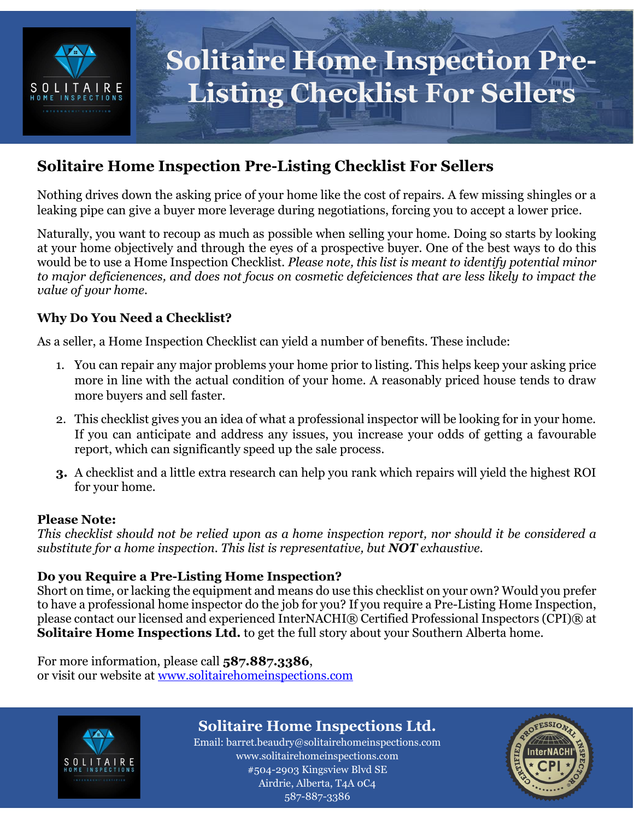

## **Solitaire Home Inspection Pre-Listing Checklist For Sellers**

Nothing drives down the asking price of your home like the cost of repairs. A few missing shingles or a leaking pipe can give a buyer more leverage during negotiations, forcing you to accept a lower price.

Naturally, you want to recoup as much as possible when selling your home. Doing so starts by looking at your home objectively and through the eyes of a prospective buyer. One of the best ways to do this would be to use a Home Inspection Checklist. *Please note, this list is meant to identify potential minor to major deficienences, and does not focus on cosmetic defeiciences that are less likely to impact the value of your home.*

### **Why Do You Need a Checklist?**

As a seller, a Home Inspection Checklist can yield a number of benefits. These include:

- 1. You can repair any major problems your home prior to listing. This helps keep your asking price more in line with the actual condition of your home. A reasonably priced house tends to draw more buyers and sell faster.
- 2. This checklist gives you an idea of what a professional inspector will be looking for in your home. If you can anticipate and address any issues, you increase your odds of getting a favourable report, which can significantly speed up the sale process.
- **3.** A checklist and a little extra research can help you rank which repairs will yield the highest ROI for your home.

#### **Please Note:**

*This checklist should not be relied upon as a home inspection report, nor should it be considered a substitute for a home inspection. This list is representative, but NOT exhaustive.* 

### **Do you Require a Pre-Listing Home Inspection?**

Short on time, or lacking the equipment and means do use this checklist on your own? Would you prefer to have a professional home inspector do the job for you? If you require a Pre-Listing Home Inspection, please contact our licensed and experienced InterNACHI® Certified Professional Inspectors (CPI)® at **Solitaire Home Inspections Ltd.** to get the full story about your Southern Alberta home.

For more information, please call **587.887.3386**, or visit our website at [www.solitairehomeinspections.com](http://www.solitairehomeinspections.com/)



## **Solitaire Home Inspections Ltd.**

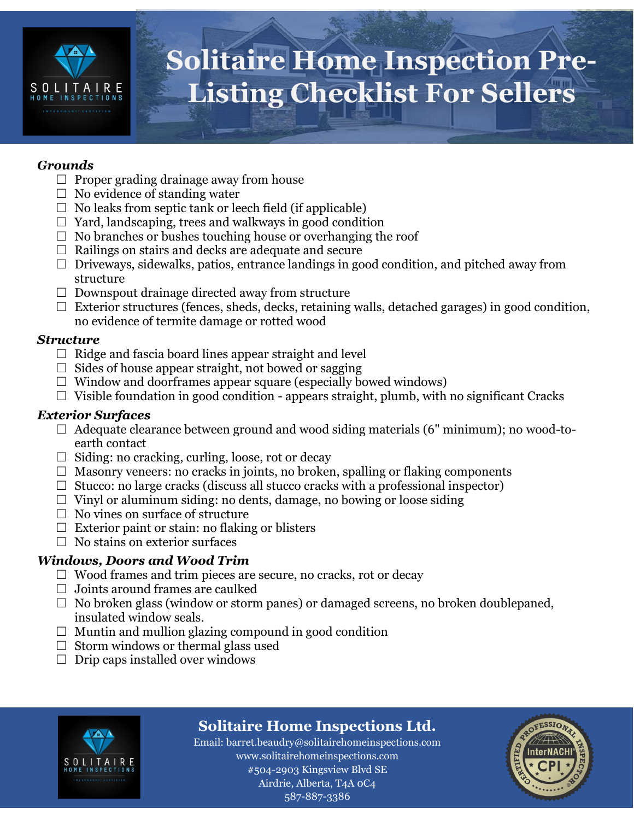

#### *Grounds*

- $\Box$  Proper grading drainage away from house
- $\Box$  No evidence of standing water
- $\Box$  No leaks from septic tank or leech field (if applicable)
- $\Box$  Yard, landscaping, trees and walkways in good condition
- $\Box$  No branches or bushes touching house or overhanging the roof
- $\Box$  Railings on stairs and decks are adequate and secure
- $\Box$  Driveways, sidewalks, patios, entrance landings in good condition, and pitched away from structure
- $\Box$  Downspout drainage directed away from structure
- $\Box$  Exterior structures (fences, sheds, decks, retaining walls, detached garages) in good condition, no evidence of termite damage or rotted wood

#### *Structure*

- $\Box$  Ridge and fascia board lines appear straight and level
- $\Box$  Sides of house appear straight, not bowed or sagging
- $\Box$  Window and doorframes appear square (especially bowed windows)
- $\Box$  Visible foundation in good condition appears straight, plumb, with no significant Cracks

#### *Exterior Surfaces*

- $\Box$  Adequate clearance between ground and wood siding materials (6" minimum); no wood-toearth contact
- $\Box$  Siding: no cracking, curling, loose, rot or decay
- $\Box$  Masonry veneers: no cracks in joints, no broken, spalling or flaking components
- $\Box$  Stucco: no large cracks (discuss all stucco cracks with a professional inspector)
- $\Box$  Vinyl or aluminum siding: no dents, damage, no bowing or loose siding
- $\Box$  No vines on surface of structure
- $\Box$  Exterior paint or stain: no flaking or blisters
- $\Box$  No stains on exterior surfaces

#### *Windows, Doors and Wood Trim*

- $\Box$  Wood frames and trim pieces are secure, no cracks, rot or decay
- $\Box$  Joints around frames are caulked
- $\Box$  No broken glass (window or storm panes) or damaged screens, no broken doublepaned, insulated window seals.
- $\Box$  Muntin and mullion glazing compound in good condition
- $\Box$  Storm windows or thermal glass used
- $\Box$  Drip caps installed over windows



## **Solitaire Home Inspections Ltd.**

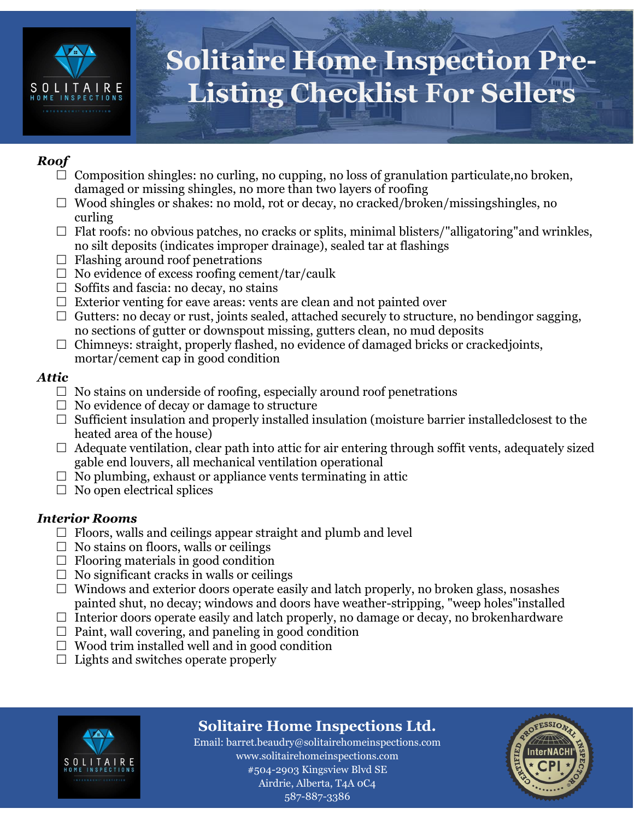

### *Roof*

- $\Box$  Composition shingles: no curling, no cupping, no loss of granulation particulate, no broken, damaged or missing shingles, no more than two layers of roofing
- $\Box$  Wood shingles or shakes: no mold, rot or decay, no cracked/broken/missingshingles, no curling
- $\Box$  Flat roofs: no obvious patches, no cracks or splits, minimal blisters/"alligatoring" and wrinkles, no silt deposits (indicates improper drainage), sealed tar at flashings
- $\Box$  Flashing around roof penetrations
- $\Box$  No evidence of excess roofing cement/tar/caulk
- $\Box$  Soffits and fascia: no decay, no stains
- $\Box$  Exterior venting for eave areas: vents are clean and not painted over
- $\Box$  Gutters: no decay or rust, joints sealed, attached securely to structure, no bending or sagging, no sections of gutter or downspout missing, gutters clean, no mud deposits
- $\Box$  Chimneys: straight, properly flashed, no evidence of damaged bricks or crackedjoints, mortar/cement cap in good condition

### *Attic*

- $\Box$  No stains on underside of roofing, especially around roof penetrations
- $\Box$  No evidence of decay or damage to structure
- $\Box$  Sufficient insulation and properly installed insulation (moisture barrier installed closest to the heated area of the house)
- $\Box$  Adequate ventilation, clear path into attic for air entering through soffit vents, adequately sized gable end louvers, all mechanical ventilation operational
- $\Box$  No plumbing, exhaust or appliance vents terminating in attic
- $\Box$  No open electrical splices

### *Interior Rooms*

- $\Box$  Floors, walls and ceilings appear straight and plumb and level
- $\Box$  No stains on floors, walls or ceilings
- $\Box$  Flooring materials in good condition
- $\Box$  No significant cracks in walls or ceilings
- $\Box$  Windows and exterior doors operate easily and latch properly, no broken glass, nosashes painted shut, no decay; windows and doors have weather-stripping, "weep holes"installed
- $\Box$  Interior doors operate easily and latch properly, no damage or decay, no brokenhardware
- $\Box$  Paint, wall covering, and paneling in good condition
- $\Box$  Wood trim installed well and in good condition
- $\Box$  Lights and switches operate properly



## **Solitaire Home Inspections Ltd.**

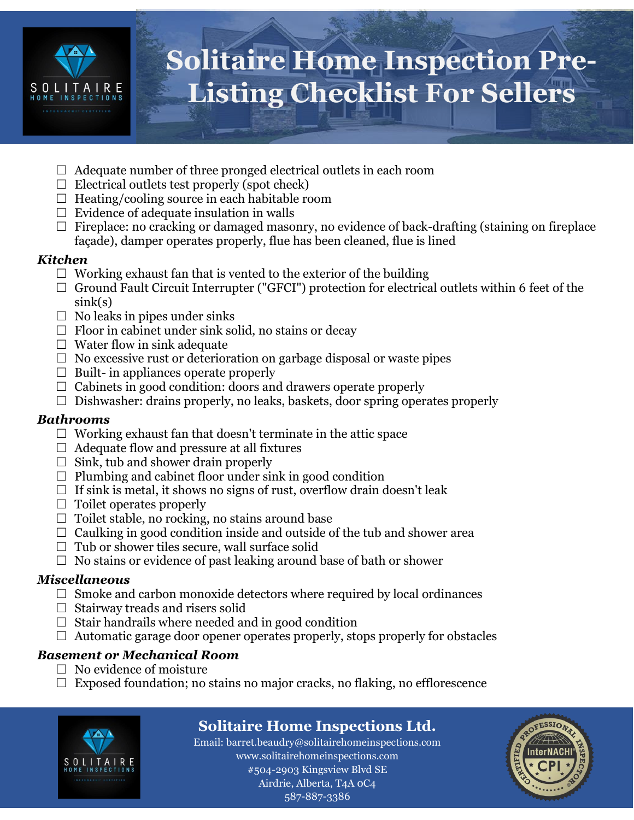

- $\Box$  Adequate number of three pronged electrical outlets in each room
- $\Box$  Electrical outlets test properly (spot check)
- $\Box$  Heating/cooling source in each habitable room
- $\Box$  Evidence of adequate insulation in walls
- $\Box$  Fireplace: no cracking or damaged masonry, no evidence of back-drafting (staining on fireplace façade), damper operates properly, flue has been cleaned, flue is lined

#### *Kitchen*

- $\Box$  Working exhaust fan that is vented to the exterior of the building
- $\Box$  Ground Fault Circuit Interrupter ("GFCI") protection for electrical outlets within 6 feet of the sink(s)
- $\Box$  No leaks in pipes under sinks
- $\Box$  Floor in cabinet under sink solid, no stains or decay
- $\Box$  Water flow in sink adequate
- $\Box$  No excessive rust or deterioration on garbage disposal or waste pipes
- $\Box$  Built- in appliances operate properly
- $\Box$  Cabinets in good condition: doors and drawers operate properly
- $\Box$  Dishwasher: drains properly, no leaks, baskets, door spring operates properly

### *Bathrooms*

- $\Box$  Working exhaust fan that doesn't terminate in the attic space
- $\Box$  Adequate flow and pressure at all fixtures
- $\Box$  Sink, tub and shower drain properly
- $\Box$  Plumbing and cabinet floor under sink in good condition
- $\Box$  If sink is metal, it shows no signs of rust, overflow drain doesn't leak
- $\Box$  Toilet operates properly
- $\Box$  Toilet stable, no rocking, no stains around base
- $\Box$  Caulking in good condition inside and outside of the tub and shower area
- $\Box$  Tub or shower tiles secure, wall surface solid
- $\Box$  No stains or evidence of past leaking around base of bath or shower

### *Miscellaneous*

- $\Box$  Smoke and carbon monoxide detectors where required by local ordinances
- $\Box$  Stairway treads and risers solid
- $\Box$  Stair handrails where needed and in good condition
- $\Box$  Automatic garage door opener operates properly, stops properly for obstacles

### *Basement or Mechanical Room*

- $\Box$  No evidence of moisture
- $\Box$  Exposed foundation; no stains no major cracks, no flaking, no efflorescence



## **Solitaire Home Inspections Ltd.**

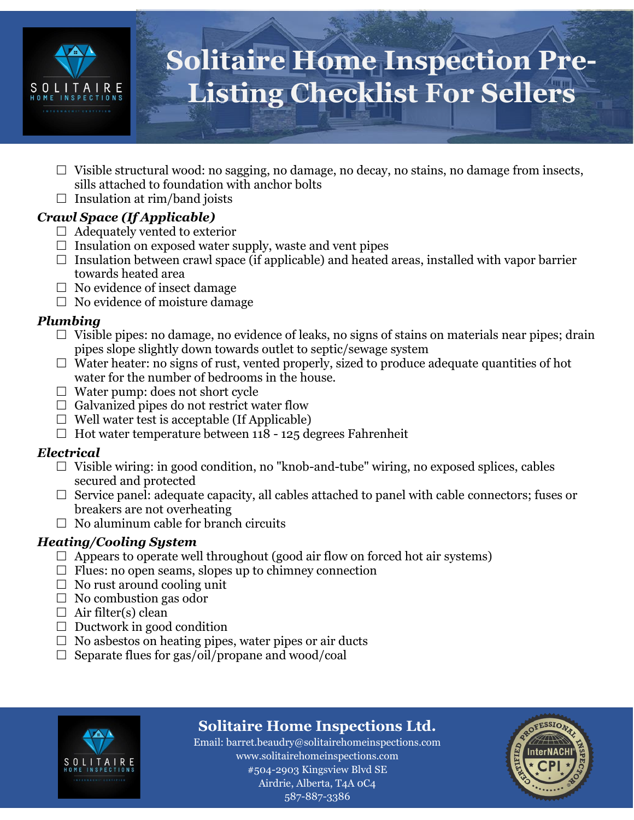

- $\Box$  Visible structural wood: no sagging, no damage, no decay, no stains, no damage from insects, sills attached to foundation with anchor bolts
- $\Box$  Insulation at rim/band joists

### *Crawl Space (If Applicable)*

- $\Box$  Adequately vented to exterior
- $\Box$  Insulation on exposed water supply, waste and vent pipes
- $\Box$  Insulation between crawl space (if applicable) and heated areas, installed with vapor barrier towards heated area
- $\Box$  No evidence of insect damage
- $\Box$  No evidence of moisture damage

#### *Plumbing*

- $\Box$  Visible pipes: no damage, no evidence of leaks, no signs of stains on materials near pipes; drain pipes slope slightly down towards outlet to septic/sewage system
- $\Box$  Water heater: no signs of rust, vented properly, sized to produce adequate quantities of hot water for the number of bedrooms in the house.
- $\Box$  Water pump: does not short cycle
- $\Box$  Galvanized pipes do not restrict water flow
- $\Box$  Well water test is acceptable (If Applicable)
- $\Box$  Hot water temperature between 118 125 degrees Fahrenheit

#### *Electrical*

- $\Box$  Visible wiring: in good condition, no "knob-and-tube" wiring, no exposed splices, cables secured and protected
- $\Box$  Service panel: adequate capacity, all cables attached to panel with cable connectors; fuses or breakers are not overheating
- $\Box$  No aluminum cable for branch circuits

### *Heating/Cooling System*

- $\Box$  Appears to operate well throughout (good air flow on forced hot air systems)
- $\Box$  Flues: no open seams, slopes up to chimney connection
- $\Box$  No rust around cooling unit
- $\Box$  No combustion gas odor
- $\Box$  Air filter(s) clean
- $\Box$  Ductwork in good condition
- $\Box$  No asbestos on heating pipes, water pipes or air ducts
- $\Box$  Separate flues for gas/oil/propane and wood/coal



## **Solitaire Home Inspections Ltd.**